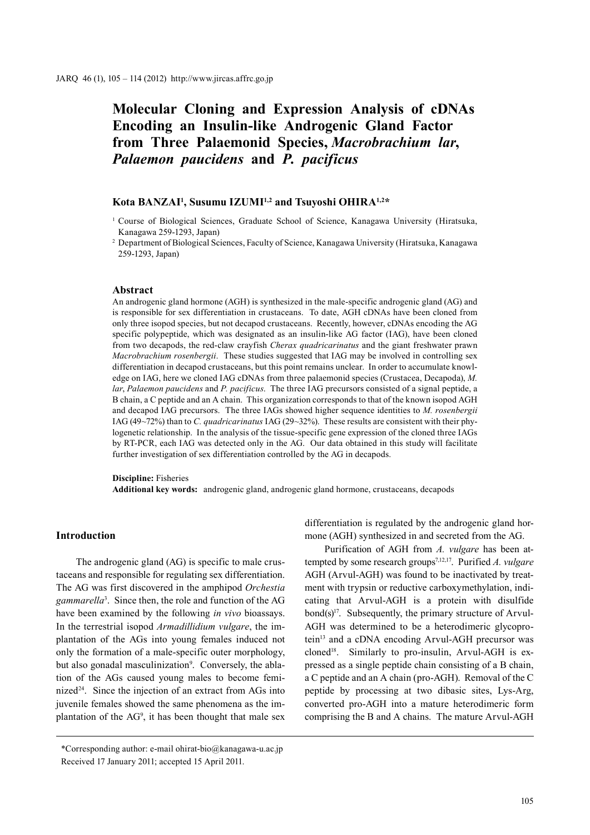# **Molecular Cloning and Expression Analysis of cDNAs Encoding an Insulin-like Androgenic Gland Factor from Three Palaemonid Species,** *Macrobrachium lar***,**  *Palaemon paucidens* **and** *P. pacificus*

### **Kota BANZAI1 , Susumu IZUMI1,2 and Tsuyoshi OHIRA1,2\***

<sup>1</sup> Course of Biological Sciences, Graduate School of Science, Kanagawa University (Hiratsuka, Kanagawa 259-1293, Japan)

<sup>2</sup> Department of Biological Sciences, Faculty of Science, Kanagawa University (Hiratsuka, Kanagawa 259-1293, Japan)

#### **Abstract**

An androgenic gland hormone (AGH) is synthesized in the male-specific androgenic gland (AG) and is responsible for sex differentiation in crustaceans. To date, AGH cDNAs have been cloned from only three isopod species, but not decapod crustaceans. Recently, however, cDNAs encoding the AG specific polypeptide, which was designated as an insulin-like AG factor (IAG), have been cloned from two decapods, the red-claw crayfish *Cherax quadricarinatus* and the giant freshwater prawn *Macrobrachium rosenbergii*. These studies suggested that IAG may be involved in controlling sex differentiation in decapod crustaceans, but this point remains unclear. In order to accumulate knowledge on IAG, here we cloned IAG cDNAs from three palaemonid species (Crustacea, Decapoda), *M. lar*, *Palaemon paucidens* and *P. pacificus*. The three IAG precursors consisted of a signal peptide, a B chain, a C peptide and an A chain. This organization corresponds to that of the known isopod AGH and decapod IAG precursors. The three IAGs showed higher sequence identities to *M. rosenbergii* IAG (49~72%) than to *C. quadricarinatus* IAG (29~32%). These results are consistent with their phylogenetic relationship. In the analysis of the tissue-specific gene expression of the cloned three IAGs by RT-PCR, each IAG was detected only in the AG. Our data obtained in this study will facilitate further investigation of sex differentiation controlled by the AG in decapods.

**Discipline:** Fisheries **Additional key words:** androgenic gland, androgenic gland hormone, crustaceans, decapods

### **Introduction**

The androgenic gland (AG) is specific to male crustaceans and responsible for regulating sex differentiation. The AG was first discovered in the amphipod *Orchestia gammarella*<sup>3</sup> . Since then, the role and function of the AG have been examined by the following *in vivo* bioassays. In the terrestrial isopod *Armadillidium vulgare*, the implantation of the AGs into young females induced not only the formation of a male-specific outer morphology, but also gonadal masculinization<sup>9</sup>. Conversely, the ablation of the AGs caused young males to become feminized<sup>24</sup>. Since the injection of an extract from AGs into juvenile females showed the same phenomena as the implantation of the  $AG<sup>9</sup>$ , it has been thought that male sex differentiation is regulated by the androgenic gland hormone (AGH) synthesized in and secreted from the AG.

Purification of AGH from *A. vulgare* has been attempted by some research groups7,12,17. Purified *A. vulgare*  AGH (Arvul-AGH) was found to be inactivated by treatment with trypsin or reductive carboxymethylation, indicating that Arvul-AGH is a protein with disulfide  $bond(s)^{17}$ . Subsequently, the primary structure of Arvul-AGH was determined to be a heterodimeric glycoprotein<sup>13</sup> and a cDNA encoding Arvul-AGH precursor was cloned<sup>18</sup>. Similarly to pro-insulin, Arvul-AGH is expressed as a single peptide chain consisting of a B chain, a C peptide and an A chain (pro-AGH). Removal of the C peptide by processing at two dibasic sites, Lys-Arg, converted pro-AGH into a mature heterodimeric form comprising the B and A chains. The mature Arvul-AGH

<sup>\*</sup>Corresponding author: e-mail ohirat-bio@kanagawa-u.ac.jp Received 17 January 2011; accepted 15 April 2011.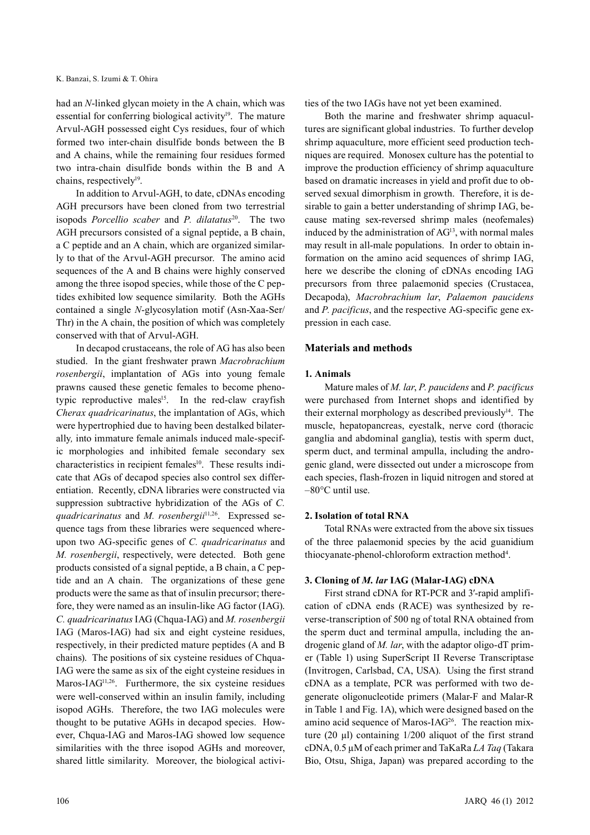had an *N*-linked glycan moiety in the A chain, which was essential for conferring biological activity $19$ . The mature Arvul-AGH possessed eight Cys residues, four of which formed two inter-chain disulfide bonds between the B and A chains, while the remaining four residues formed two intra-chain disulfide bonds within the B and A chains, respectively<sup>19</sup>.

In addition to Arvul-AGH, to date, cDNAs encoding AGH precursors have been cloned from two terrestrial isopods *Porcellio scaber* and *P. dilatatus*20. The two AGH precursors consisted of a signal peptide, a B chain, a C peptide and an A chain, which are organized similarly to that of the Arvul-AGH precursor. The amino acid sequences of the A and B chains were highly conserved among the three isopod species, while those of the C peptides exhibited low sequence similarity. Both the AGHs contained a single *N*-glycosylation motif (Asn-Xaa-Ser/ Thr) in the A chain, the position of which was completely conserved with that of Arvul-AGH.

In decapod crustaceans, the role of AG has also been studied. In the giant freshwater prawn *Macrobrachium rosenbergii*, implantation of AGs into young female prawns caused these genetic females to become phenotypic reproductive males<sup>15</sup>. In the red-claw crayfish *Cherax quadricarinatus*, the implantation of AGs, which were hypertrophied due to having been destalked bilaterally*,* into immature female animals induced male-specific morphologies and inhibited female secondary sex characteristics in recipient females<sup>10</sup>. These results indicate that AGs of decapod species also control sex differentiation. Recently, cDNA libraries were constructed via suppression subtractive hybridization of the AGs of *C. quadricarinatus* and *M. rosenbergii*11,26. Expressed sequence tags from these libraries were sequenced whereupon two AG-specific genes of *C. quadricarinatus* and *M. rosenbergii*, respectively, were detected. Both gene products consisted of a signal peptide, a B chain, a C peptide and an A chain. The organizations of these gene products were the same as that of insulin precursor; therefore, they were named as an insulin-like AG factor (IAG). *C. quadricarinatus* IAG (Chqua-IAG) and *M. rosenbergii* IAG (Maros-IAG) had six and eight cysteine residues, respectively, in their predicted mature peptides (A and B chains). The positions of six cysteine residues of Chqua-IAG were the same as six of the eight cysteine residues in Maros-IAG<sup>11,26</sup>. Furthermore, the six cysteine residues were well-conserved within an insulin family, including isopod AGHs. Therefore, the two IAG molecules were thought to be putative AGHs in decapod species. However, Chqua-IAG and Maros-IAG showed low sequence similarities with the three isopod AGHs and moreover, shared little similarity. Moreover, the biological activi-

ties of the two IAGs have not yet been examined.

Both the marine and freshwater shrimp aquacultures are significant global industries. To further develop shrimp aquaculture, more efficient seed production techniques are required. Monosex culture has the potential to improve the production efficiency of shrimp aquaculture based on dramatic increases in yield and profit due to observed sexual dimorphism in growth. Therefore, it is desirable to gain a better understanding of shrimp IAG, because mating sex-reversed shrimp males (neofemales) induced by the administration of AG<sup>13</sup>, with normal males may result in all-male populations. In order to obtain information on the amino acid sequences of shrimp IAG, here we describe the cloning of cDNAs encoding IAG precursors from three palaemonid species (Crustacea, Decapoda), *Macrobrachium lar*, *Palaemon paucidens* and *P. pacificus*, and the respective AG-specific gene expression in each case.

### **Materials and methods**

#### **1. Animals**

Mature males of *M. lar*, *P. paucidens* and *P. pacificus* were purchased from Internet shops and identified by their external morphology as described previously $14$ . The muscle, hepatopancreas, eyestalk, nerve cord (thoracic ganglia and abdominal ganglia), testis with sperm duct, sperm duct, and terminal ampulla, including the androgenic gland, were dissected out under a microscope from each species, flash-frozen in liquid nitrogen and stored at –80°C until use.

### **2. Isolation of total RNA**

Total RNAs were extracted from the above six tissues of the three palaemonid species by the acid guanidium thiocyanate-phenol-chloroform extraction method<sup>4</sup>.

### **3. Cloning of** *M. lar* **IAG (Malar-IAG) cDNA**

First strand cDNA for RT-PCR and 3′-rapid amplification of cDNA ends (RACE) was synthesized by reverse-transcription of 500 ng of total RNA obtained from the sperm duct and terminal ampulla, including the androgenic gland of *M. lar*, with the adaptor oligo-dT primer (Table 1) using SuperScript II Reverse Transcriptase (Invitrogen, Carlsbad, CA, USA). Using the first strand cDNA as a template, PCR was performed with two degenerate oligonucleotide primers (Malar-F and Malar-R in Table 1 and Fig. 1A), which were designed based on the amino acid sequence of Maros-IAG<sup>26</sup>. The reaction mixture  $(20 \mu l)$  containing  $1/200$  aliquot of the first strand cDNA, 0.5 µM of each primer and TaKaRa *LA Taq* (Takara Bio, Otsu, Shiga, Japan) was prepared according to the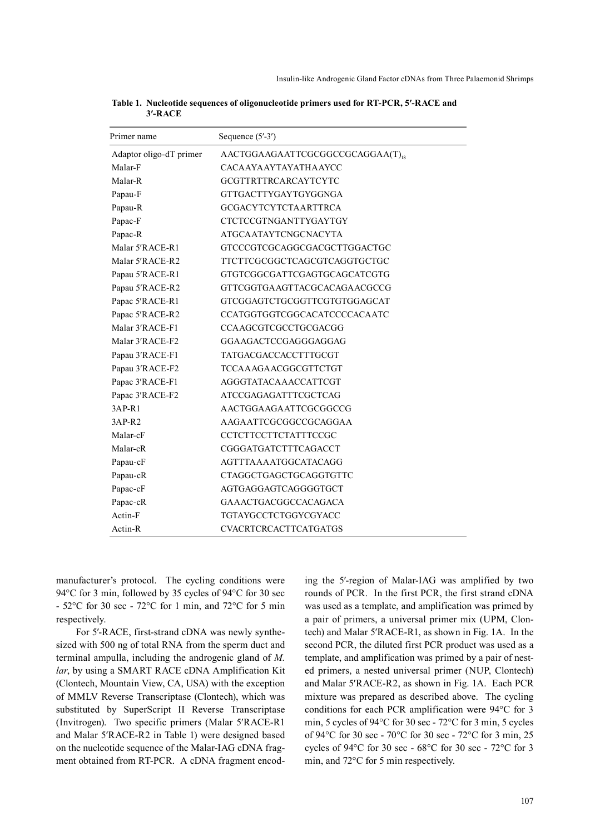| Primer name             | Sequence $(5'$ -3')                          |
|-------------------------|----------------------------------------------|
| Adaptor oligo-dT primer | AACTGGAAGAATTCGCGGCCGCAGGAA(T) <sub>18</sub> |
| Malar-F                 | CACAAYAAYTAYATHAAYCC                         |
| Malar-R                 | <b>GCGTTRTTRCARCAYTCYTC</b>                  |
| Papau-F                 | GTTGACTTYGAYTGYGGNGA                         |
| Papau-R                 | <b>GCGACYTCYTCTAARTTRCA</b>                  |
| Papac-F                 | CTCTCCGTNGANTTYGAYTGY                        |
| Papac-R                 | <b>ATGCAATAYTCNGCNACYTA</b>                  |
| Malar 5'RACE-R1         | GTCCCGTCGCAGGCGACGCTTGGACTGC                 |
| Malar 5'RACE-R2         | TTCTTCGCGGCTCAGCGTCAGGTGCTGC                 |
| Papau 5'RACE-R1         | GTGTCGGCGATTCGAGTGCAGCATCGTG                 |
| Papau 5'RACE-R2         | GTTCGGTGAAGTTACGCACAGAACGCCG                 |
| Papac 5'RACE-R1         | GTCGGAGTCTGCGGTTCGTGTGGAGCAT                 |
| Papac 5'RACE-R2         | CCATGGTGGTCGGCACATCCCCACAATC                 |
| Malar 3'RACE-F1         | <b>CCAAGCGTCGCCTGCGACGG</b>                  |
| Malar 3'R ACE-F2        | GGAAGACTCCGAGGGAGGAG                         |
| Papau 3'RACE-F1         | <b>TATGACGACCACCTTTGCGT</b>                  |
| Papau 3'RACE-F2         | <b>TCCAAAGAACGGCGTTCTGT</b>                  |
| Papac 3'RACE-F1         | <b>AGGGTATACAAACCATTCGT</b>                  |
| Papac 3'RACE-F2         | <b>ATCCGAGAGATTTCGCTCAG</b>                  |
| 3AP-R1                  | AACTGGAAGAATTCGCGGCCG                        |
| $3AP-R2$                | AAGAATTCGCGGCCGCAGGAA                        |
| Malar-cF                | CCTCTTCCTTCTATTTCCGC                         |
| Malar-cR                | CGGGATGATCTTTCAGACCT                         |
| Papau-cF                | AGTTTAAAATGGCATACAGG                         |
| Papau-cR                | <b>CTAGGCTGAGCTGCAGGTGTTC</b>                |
| Papac-cF                | AGTGAGGAGTCAGGGGTGCT                         |
| Papac-cR                | GAAACTGACGGCCACAGACA                         |
| Actin-F                 | TGTAYGCCTCTGGYCGYACC                         |
| Actin-R                 | <b>CVACRTCRCACTTCATGATGS</b>                 |

**Table 1. Nucleotide sequences of oligonucleotide primers used for RT-PCR, 5′-RACE and 3′-RACE**

manufacturer's protocol. The cycling conditions were 94°C for 3 min, followed by 35 cycles of 94°C for 30 sec - 52°C for 30 sec - 72°C for 1 min, and 72°C for 5 min respectively.

For 5′-RACE, first-strand cDNA was newly synthesized with 500 ng of total RNA from the sperm duct and terminal ampulla, including the androgenic gland of *M. lar*, by using a SMART RACE cDNA Amplification Kit (Clontech, Mountain View, CA, USA) with the exception of MMLV Reverse Transcriptase (Clontech), which was substituted by SuperScript II Reverse Transcriptase (Invitrogen). Two specific primers (Malar 5′RACE-R1 and Malar 5′RACE-R2 in Table 1) were designed based on the nucleotide sequence of the Malar-IAG cDNA fragment obtained from RT-PCR. A cDNA fragment encoding the 5′-region of Malar-IAG was amplified by two rounds of PCR. In the first PCR, the first strand cDNA was used as a template, and amplification was primed by a pair of primers, a universal primer mix (UPM, Clontech) and Malar 5′RACE-R1, as shown in Fig. 1A. In the second PCR, the diluted first PCR product was used as a template, and amplification was primed by a pair of nested primers, a nested universal primer (NUP, Clontech) and Malar 5′RACE-R2, as shown in Fig. 1A. Each PCR mixture was prepared as described above. The cycling conditions for each PCR amplification were 94°C for 3 min, 5 cycles of 94°C for 30 sec - 72°C for 3 min, 5 cycles of 94°C for 30 sec - 70°C for 30 sec - 72°C for 3 min, 25 cycles of 94°C for 30 sec - 68°C for 30 sec - 72°C for 3 min, and 72°C for 5 min respectively.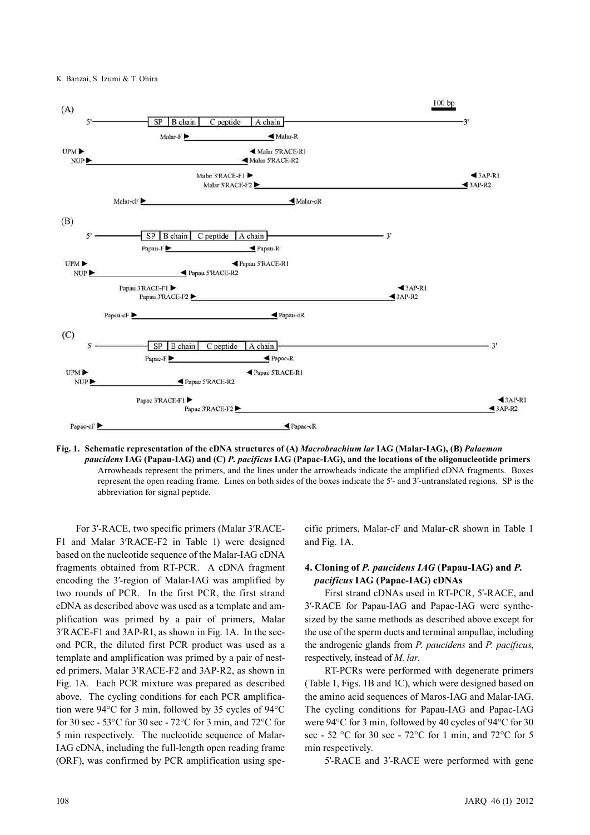

**Fig. 1. Schematic representation of the cDNA structures of (A)** *Macrobrachium lar* **IAG (Malar-IAG), (B)** *Palaemon paucidens* **IAG (Papau-IAG) and (C)** *P. pacificus* **IAG (Papac-IAG), and the locations of the oligonucleotide primers** Arrowheads represent the primers, and the lines under the arrowheads indicate the amplified cDNA fragments. Boxes represent the open reading frame. Lines on both sides of the boxes indicate the 5′- and 3′-untranslated regions. SP is the abbreviation for signal peptide.

For 3′-RACE, two specific primers (Malar 3′RACE-F1 and Malar 3′RACE-F2 in Table 1) were designed based on the nucleotide sequence of the Malar-IAG cDNA fragments obtained from RT-PCR. A cDNA fragment encoding the 3′-region of Malar-IAG was amplified by two rounds of PCR. In the first PCR, the first strand cDNA as described above was used as a template and amplification was primed by a pair of primers, Malar 3′RACE-F1 and 3AP-R1, as shown in Fig. 1A. In the second PCR, the diluted first PCR product was used as a template and amplification was primed by a pair of nested primers, Malar 3′RACE-F2 and 3AP-R2, as shown in Fig. 1A. Each PCR mixture was prepared as described above. The cycling conditions for each PCR amplification were 94°C for 3 min, followed by 35 cycles of 94°C for 30 sec - 53°C for 30 sec - 72°C for 3 min, and 72°C for 5 min respectively. The nucleotide sequence of Malar-IAG cDNA, including the full-length open reading frame (ORF), was confirmed by PCR amplification using specific primers, Malar-cF and Malar-cR shown in Table 1 and Fig. 1A.

# **4. Cloning of** *P. paucidens IAG* **(Papau-IAG) and** *P. pacificus* **IAG (Papac-IAG) cDNAs**

First strand cDNAs used in RT-PCR, 5′-RACE, and 3′-RACE for Papau-IAG and Papac-IAG were synthesized by the same methods as described above except for the use of the sperm ducts and terminal ampullae, including the androgenic glands from *P. paucidens* and *P. pacificus*, respectively, instead of *M. lar*.

RT-PCRs were performed with degenerate primers (Table 1, Figs. 1B and 1C), which were designed based on the amino acid sequences of Maros-IAG and Malar-IAG. The cycling conditions for Papau-IAG and Papac-IAG were 94°C for 3 min, followed by 40 cycles of 94°C for 30 sec - 52 °C for 30 sec - 72°C for 1 min, and 72°C for 5 min respectively.

5′-RACE and 3′-RACE were performed with gene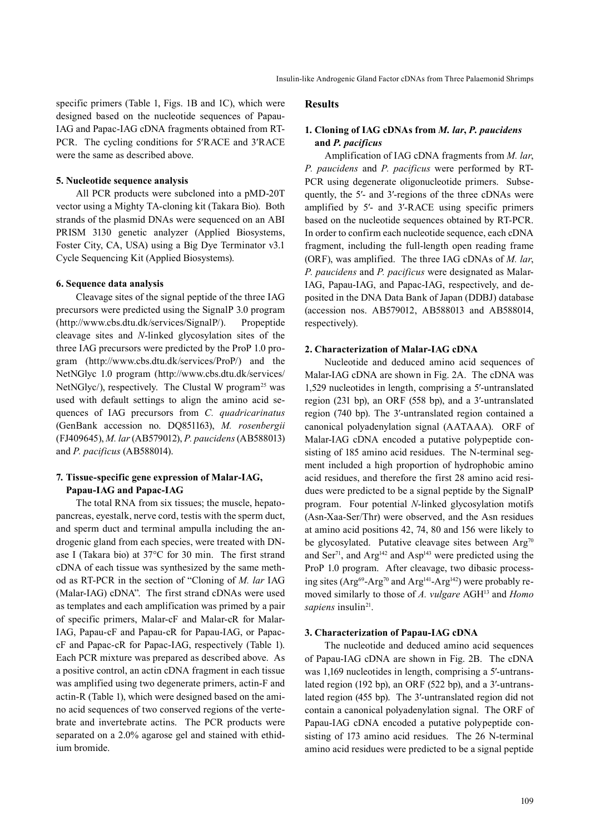specific primers (Table 1, Figs. 1B and 1C), which were designed based on the nucleotide sequences of Papau-IAG and Papac-IAG cDNA fragments obtained from RT-PCR. The cycling conditions for 5′RACE and 3′RACE were the same as described above.

### **5. Nucleotide sequence analysis**

All PCR products were subcloned into a pMD-20T vector using a Mighty TA-cloning kit (Takara Bio). Both strands of the plasmid DNAs were sequenced on an ABI PRISM 3130 genetic analyzer (Applied Biosystems, Foster City, CA, USA) using a Big Dye Terminator v3.1 Cycle Sequencing Kit (Applied Biosystems).

### **6. Sequence data analysis**

Cleavage sites of the signal peptide of the three IAG precursors were predicted using the SignalP 3.0 program (http://www.cbs.dtu.dk/services/SignalP/). Propeptide cleavage sites and *N*-linked glycosylation sites of the three IAG precursors were predicted by the ProP 1.0 program (http://www.cbs.dtu.dk/services/ProP/) and the NetNGlyc 1.0 program (http://www.cbs.dtu.dk/services/ NetNGlyc $\ell$ ), respectively. The Clustal W program<sup>25</sup> was used with default settings to align the amino acid sequences of IAG precursors from *C. quadricarinatus* (GenBank accession no. DQ851163), *M. rosenbergii*  (FJ409645), *M. lar* (AB579012), *P. paucidens* (AB588013) and *P. pacificus* (AB588014).

# **7. Tissue-specific gene expression of Malar-IAG, Papau-IAG and Papac-IAG**

The total RNA from six tissues; the muscle, hepatopancreas, eyestalk, nerve cord, testis with the sperm duct, and sperm duct and terminal ampulla including the androgenic gland from each species, were treated with DNase I (Takara bio) at 37°C for 30 min. The first strand cDNA of each tissue was synthesized by the same method as RT-PCR in the section of "Cloning of *M. lar* IAG (Malar-IAG) cDNA". The first strand cDNAs were used as templates and each amplification was primed by a pair of specific primers, Malar-cF and Malar-cR for Malar-IAG, Papau-cF and Papau-cR for Papau-IAG, or PapaccF and Papac-cR for Papac-IAG, respectively (Table 1). Each PCR mixture was prepared as described above. As a positive control, an actin cDNA fragment in each tissue was amplified using two degenerate primers, actin-F and actin-R (Table 1), which were designed based on the amino acid sequences of two conserved regions of the vertebrate and invertebrate actins. The PCR products were separated on a 2.0% agarose gel and stained with ethidium bromide.

### **Results**

# **1. Cloning of IAG cDNAs from** *M. lar***,** *P. paucidens* **and** *P. pacificus*

Amplification of IAG cDNA fragments from *M. lar*, *P. paucidens* and *P. pacificus* were performed by RT-PCR using degenerate oligonucleotide primers. Subsequently, the 5′- and 3′-regions of the three cDNAs were amplified by 5′- and 3′-RACE using specific primers based on the nucleotide sequences obtained by RT-PCR. In order to confirm each nucleotide sequence, each cDNA fragment, including the full-length open reading frame (ORF), was amplified. The three IAG cDNAs of *M. lar*, *P. paucidens* and *P. pacificus* were designated as Malar-IAG, Papau-IAG, and Papac-IAG, respectively, and deposited in the DNA Data Bank of Japan (DDBJ) database (accession nos. AB579012, AB588013 and AB588014, respectively).

### **2. Characterization of Malar-IAG cDNA**

Nucleotide and deduced amino acid sequences of Malar-IAG cDNA are shown in Fig. 2A. The cDNA was 1,529 nucleotides in length, comprising a 5′-untranslated region (231 bp), an ORF (558 bp), and a 3′-untranslated region (740 bp). The 3′-untranslated region contained a canonical polyadenylation signal (AATAAA). ORF of Malar-IAG cDNA encoded a putative polypeptide consisting of 185 amino acid residues. The N-terminal segment included a high proportion of hydrophobic amino acid residues, and therefore the first 28 amino acid residues were predicted to be a signal peptide by the SignalP program. Four potential *N*-linked glycosylation motifs (Asn-Xaa-Ser/Thr) were observed, and the Asn residues at amino acid positions 42, 74, 80 and 156 were likely to be glycosylated. Putative cleavage sites between Arg<sup>70</sup> and  $\text{Ser}^{71}$ , and  $\text{Arg}^{142}$  and  $\text{Asp}^{143}$  were predicted using the ProP 1.0 program. After cleavage, two dibasic processing sites  $(Arg^{69} - Arg^{70}$  and  $Arg^{141} - Arg^{142}$  were probably removed similarly to those of *A. vulgare* AGH<sup>13</sup> and *Homo* sapiens insulin<sup>21</sup>.

### **3. Characterization of Papau-IAG cDNA**

The nucleotide and deduced amino acid sequences of Papau-IAG cDNA are shown in Fig. 2B. The cDNA was 1,169 nucleotides in length, comprising a 5'-untranslated region (192 bp), an ORF (522 bp), and a 3′-untranslated region (455 bp). The 3′-untranslated region did not contain a canonical polyadenylation signal. The ORF of Papau-IAG cDNA encoded a putative polypeptide consisting of 173 amino acid residues. The 26 N-terminal amino acid residues were predicted to be a signal peptide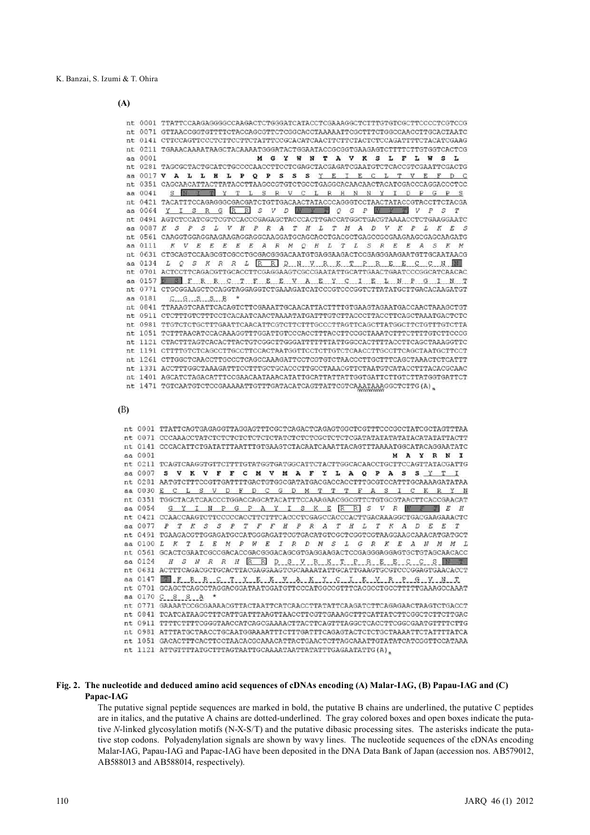### **(A)**

|     |                                  | nt 0001 TTATTCCAAGAGGGGCCAAGACTCTGGGATCATACCTCGAAAGGCTCTTTGTGTCGCTTCCCCTCGTCCG                                                   |
|-----|----------------------------------|----------------------------------------------------------------------------------------------------------------------------------|
|     |                                  | nt 0071 GTTAACCGGTGTTTTCTACCAGCGTTCTCGGCACCTAAAAATTCGCTTTCTGGCCAACCTTGCACTAATC                                                   |
|     |                                  | nt 0141 CTTCCAGTTCCCTCTTCCTTCTATTTCCGCACATCAACTTCTTCTACTCTCCAGATTTTCTACATCGAAG                                                   |
|     |                                  | nt 0211 TGAAACAAAATAAGCTACAAAATGGGATACTGGAATACCGCGGTGAAGAGTCTTTTCTTGTGGTCACTCG                                                   |
|     | aa 0001                          | L<br>м<br>G<br>Y<br>N<br>т<br>А<br>v<br>ĸ<br>s<br>L<br>F<br>т.<br>s                                                              |
|     |                                  | nt 0281 TAGCGCTACTGCATCTGCCCCAACCTTCCTCGAGCTACGAGATCGAATGTCTCACCGTCGAATTCGACTG                                                   |
|     | aa 0017 V                        | $\mathbf{s}$<br>$E$ $C$<br>₽<br>s<br>S Y E I<br>L<br>T<br>$\mathbf{V}$<br>E<br>F<br>А<br>L<br>L<br>н<br>₽<br>$\circ$<br>- 0<br>ь |
|     |                                  | nt 0351 CAGCAACATTACTTATACCTTAAGCCGTGTCTGCCTGAGGCACAACAACTACATCGACCCAGGACCCTCC                                                   |
|     | aa 0041                          | s<br>s<br>R<br>$\mathbf{v}$<br>c<br>H<br>R<br>- N<br>- N<br>D<br>G                                                               |
|     |                                  | nt 0421 TACATTTCCAGAGGGCGACGATCTGTTGACAACTATACCCAGGGTCCTAACTATACCGTACCTTCTACGA                                                   |
|     | aa 0064                          | $\mathcal{P}$<br>IR.<br>R.<br>S<br>$V$ $D$<br>$\boldsymbol{\mathcal{N}}$<br>G<br>s<br>R<br>G<br>O                                |
|     |                                  | nt 0491 AGTCTCCATCGCTCGTCCACCCGAGAGCTACCCACTTGACCATGGCTGACGTAAAACCTCTGAAGGAATC                                                   |
|     | aa 0087                          | т<br>E<br>KS<br>- 5<br>T.<br>V<br>H P<br>R<br>A<br>H<br>T<br>M<br>А<br>D.<br>V K<br>P                                            |
|     |                                  | nt 0561 CAAGGTGGAGGAAGAAGGAGGAGGCAAGGATGCAGCACCTGACGCTGAGCCGCGAAGAAGCGAGCAAGATG                                                  |
|     | aa 0111                          | E<br>E<br>Ε<br>E<br>А<br>R<br>M<br>H<br>L.<br>T<br>L<br>S.<br>$-R$<br>E<br>К<br>Ε<br>O.<br>Ε                                     |
|     |                                  | nt 0631 CTGCAGTCCAAGCGTCGCCTGCGACGGGACAATGTGAGGAAGACTCCGAGGGAAGAATGTTGCAATAACG                                                   |
|     | aa 0134                          | R<br>R I<br>D N V R K T<br>P R E<br>L<br>- E<br>$S$ $K$ $R$ $R$<br>C<br>L.                                                       |
|     |                                  | nt 0701 ACTCCTTCAGACGTTGCACCTTCGAGGAAGTCGCCGAATATTGCATTGAACTGAATCCCGGCATCAACAC                                                   |
|     | aa 0157                          | T F E E V A E Y C I E L N P G<br>- R<br>- R<br>- C.<br>I N                                                                       |
|     |                                  | nt 0771 CTGCGGAAGCTCCAGGTAGGAGGTCTGAAAGATCATCCCGTCCCGGTCTTATATGCTTGACACAAGATGT                                                   |
|     | aa 0181                          | $C$ $G$ $S$ $S$ $R$                                                                                                              |
|     |                                  | nt 0841 TTAAAGTCAATTCACAGTCTTCGAAATTGCAACATTACTTTTGTGAAGTAGAATGACCAACTAAAGCTGT                                                   |
|     |                                  | nt 0911 CTCTTTGTCTTTCCTCACAATCAACTAAAATATGATTTGTCTTACCCTTACCTTCAGCTAAATGACTCTC                                                   |
|     |                                  | nt 0981 TTGTCTCTGCTTTGAATTCAACATTCGTCTTCTTCTCCCCTTAGTTCAGCTTATGGCTTCTGTTTGTCTTA                                                  |
|     |                                  |                                                                                                                                  |
|     |                                  | nt 1121 CTACTTTAGTCACACTTACTGTCGGCTTGGGATTTTTTTATTGGCCACTTTTACCTTCAGCTAAAGGTTC                                                   |
|     |                                  | nt 1191 CTTTTGTCTCAGCCTTGCCTTCCACTAATGGTTCCTCTTGTCTCAACCTTGCCTTCAGCTAATGCTTCCT                                                   |
|     |                                  | nt 1261 CTTGGCTCAACCTTGCCCTCAGCCAAAGATTCCTCGTGTCTAACCCTTGCTTTCAGCTAAACTCTCATTT                                                   |
|     |                                  | nt 1331 ACCTTTGGCTAAAGATTTCCTTTGCTGCACCCTTGCCTAAACGTTCTAATGTCATACCTTTACACGCAAC                                                   |
|     |                                  | nt 1401 AGCATCTAGACATTTCCGAACAATAAACATATTGCATTATTATTGGTGATTCTTGTCTTATGGTGATTCT                                                   |
|     |                                  | nt 1471 TGTCAATGTCTCCGAAAAATTGTTTGATACATCAGTTATTCGTCAAATAAAGGCTCTTG(A),<br>mmmmmm                                                |
| (B) |                                  |                                                                                                                                  |
| nt  |                                  | 0001 TTATTCAGTGAGAGGTTAGGAGTTTCGCTCAGACTCAGAGTGGCTCGTTTCCCGCCTATCGCTAGTT                                                         |
| nt  |                                  |                                                                                                                                  |
|     | Which I do the company should be |                                                                                                                                  |

| nt        |      | 0141 CCCACATTCTGATATTTAATTTGTGAAGTCTACAATCAAATTACAGTTTAAAATGGCATACAGGAATATC                                                                                              |
|-----------|------|--------------------------------------------------------------------------------------------------------------------------------------------------------------------------|
| AA        | 0001 | $\mathbf{v}$<br>R<br>N<br>T<br>$\mathbf{A}$<br>м                                                                                                                         |
| nt.       | 0211 | TCAGTCAAGGTGTTCTTTGTATGGTGATGGCATTCTACTTGGCACAACCTGCTTCCAGTTATACGATTG                                                                                                    |
|           | 0007 | Y<br>s<br>s<br>K.<br>$\mathbf{v}$<br>с<br>м<br>v<br>$\lambda$<br>F<br><b>P</b><br>A<br>$S - Y$<br>v<br>F<br>F<br>м<br>L.<br>$\mathbf{A}$<br>$\circ$                      |
| nt.       | 0281 | AATGTCTTTCCGTTGATTTGACTGTGGCGATATGACGACCACCTTTGCGTCCATTTGCAAAAGATATAA                                                                                                    |
|           | 0030 | LSVDF<br>DCGD<br>M <sub>T</sub><br><b>т</b> т<br>FAST<br>K R Y N<br>E<br>$\alpha$                                                                                        |
| nt.       | 0351 | TGGCTACATCAACCCTGGACCAGCATACATTTCCAAAGAACGGCGTTCTGTGCGTAACTTCACCGAACAT                                                                                                   |
| aa        | 0054 | GYIN PGPAYISKE<br>R R<br>:5<br>R<br>v<br>m<br>H                                                                                                                          |
|           | 0421 |                                                                                                                                                                          |
| aa        | 0077 | S<br>P<br>$\boldsymbol{H}$<br>Т<br>T<br>$_{R}$<br>s<br>Τ<br>F<br>F<br>P<br>R<br>А<br>T<br>$\cdot$ H<br>ĸ<br>R<br>T.<br>Т<br>A<br>Ð<br>R                                  |
| nt.       | 0491 | TGAAGACGTTGGAGATGCCATGGGAGATTCGTGACATGTCGCTCGGTCGTAAGGAAGCAACATGATGCT                                                                                                    |
| 8a        | 0100 | $T_{\rm c}$<br>M<br>M<br>$\overline{P}$<br>$T$ R<br>$D$ $M$<br>$S \cup L$<br>R<br>$K - E$<br>A<br>$\tau$<br>т.<br>т<br>- 53<br>w<br>E<br>G<br>- NF<br>м<br>$\mathcal{R}$ |
| nt        | 0561 |                                                                                                                                                                          |
| aa        | 0124 | R R D S V R K T P R E E C C S N T<br>N R<br>H<br>S.<br>R<br>H                                                                                                            |
| nt        |      | 0631 ACTTTCAGACGCTGCACTTACGAGGAAGTCGCAAAATATTGCATTGAAGTGCGTCCCGGAGTGAACACCT                                                                                              |
| <b>aa</b> | 0147 | <b>ENFRRCTYEEVAKYCIEVRPGVNT</b>                                                                                                                                          |
| nt.       | 0701 |                                                                                                                                                                          |
| aa        |      | 0170 C S S A $*$                                                                                                                                                         |
| nt.       | 0771 | GAAAATCCGCGAAAACGTTACTAATTCATCAACCTTATATTCAAGATCTTCAGAGAACTAAGTCTGACCT                                                                                                   |
| nt:       | 0841 | TCATCATAAGCTTTCATTGATTTAAGTTAACCTTCGTTGAAAGCTTTCATTATCTTCGGCTCTTCTTGAC                                                                                                   |
| nt        | 0911 | TTTTCTTTTCGGGTAACCATCAGCGAAAACTTACTTCAGTTTAGGCTCACCTTCGGCGAATGTTTTCTTG                                                                                                   |
| nt        | 0981 | ATTTATGCTAACCTGCAATGGAAAATTTCTTTGATTTCAGAGTACTCTCTGCTAAAATTCTATTTTATCA                                                                                                   |
| nt        |      | 1051 GACACTTTCACTTCCTAACACGCAAACATTACTGAACTCTTAGCAAATTGTATATCATCGGTTCCATAAA                                                                                              |
|           |      | 1121 ATTGTTTTATGCTTTAGTAATTGCAAAATAATTATATTTGAGAATATTG(A).                                                                                                               |

### **Fig. 2. The nucleotide and deduced amino acid sequences of cDNAs encoding (A) Malar-IAG, (B) Papau-IAG and (C) Papac-IAG**

The putative signal peptide sequences are marked in bold, the putative B chains are underlined, the putative C peptides are in italics, and the putative A chains are dotted-underlined. The gray colored boxes and open boxes indicate the putative *N*-linked glycosylation motifs (N-X-S/T) and the putative dibasic processing sites. The asterisks indicate the putative stop codons. Polyadenylation signals are shown by wavy lines. The nucleotide sequences of the cDNAs encoding Malar-IAG, Papau-IAG and Papac-IAG have been deposited in the DNA Data Bank of Japan (accession nos. AB579012, AB588013 and AB588014, respectively).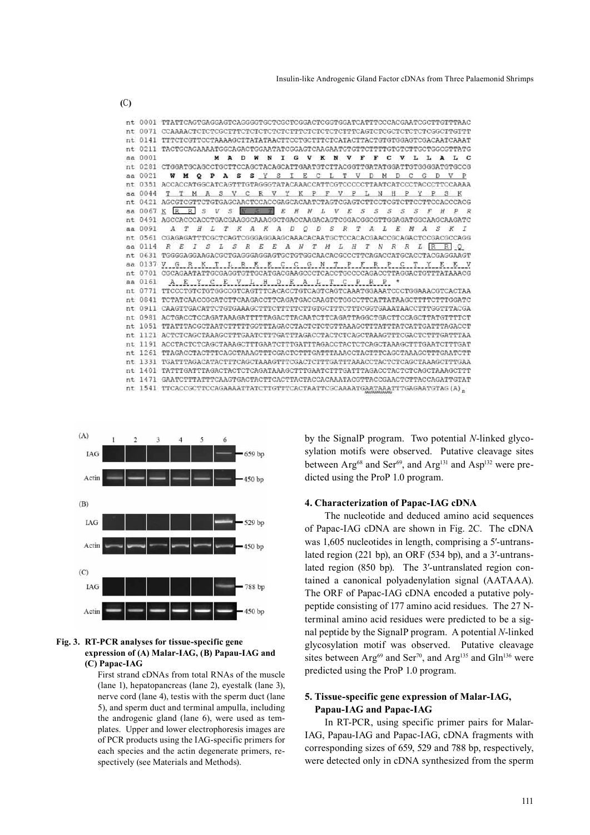| nt  |         | 0001 TTATTCAGTGAGGAGTCAGGGGTGCTCGCTCGGACTCGGTGGATCATTTCCCACGAATCGCTTGTTTAAC                                                                             |
|-----|---------|---------------------------------------------------------------------------------------------------------------------------------------------------------|
| nt  |         |                                                                                                                                                         |
| nt  | 0141    |                                                                                                                                                         |
| nt  |         | 0211 TACTGCAGAAAATGGCAGACTGGAATATCGGAGTCAAGAATGTGTTCTTTTGTGTCTTGCTGGCGTTATG                                                                             |
| aa  | 0001    | W N I G V K N V F F<br>c v<br>м<br>AD<br>L L                                                                                                            |
| nt  |         | 0281 CTGGATGCAGCCTGCTTCCAGCTACAGCATTGAATGTCTTACGGTTGATATGGATTGTGGGGATGTGCCG                                                                             |
|     | aa 0021 | <b>OPASSYSTECLTVDMDCGDVP</b><br>м<br>w                                                                                                                  |
| nt  | 0351    | ACCACCATGGCATCAGTTTGTAGGGTATACAAACCATTCGTCCCCCTTAATCATCCCTACCCTTCCAAAA                                                                                  |
| aa  | 0044    | T T M A S V C R V Y K P F V P L N H P Y P S K                                                                                                           |
| nt. |         |                                                                                                                                                         |
| aa  |         | $N \quad S \quad P \quad E \quad H \quad N \quad L \quad V \quad E \quad S \quad S \quad S \quad S \quad F$<br>0067 K R R<br>S<br>$V-S$<br>$H$ $P$<br>R |
| nt. |         |                                                                                                                                                         |
| BA  | 0091    | $A$ $D$<br>$O$ $D$<br>$S$ $R$<br>$T$ $A$ $L$<br>$A$ $T$<br>$H = L$<br>$T$ $K$<br>$A$ $R$<br>E.<br>$M$ $A$<br>S<br>R<br>T                                |
| nt  |         | 0561 CGAGAGATTTCGCTCAGTCGGGAGGAAGCAAACACAATGCTCCACACGAACCGCAGACTCCGACGCCAGG                                                                             |
| aa  | 0114    | $I-S$<br>L S<br>$R E E A N T M L H T N R R$<br>L.<br>R R O<br>R E                                                                                       |
| nt  | 0631    | TGGGGAGGAAGACGCTGAGGGAGGAGTGCTGTGGCAACACGCCCTTCAGACCATGCACCTACGAGGAAGT                                                                                  |
| aa  |         | 0137 V G R K T L R E E C C G N T P F R P C T Y E E V                                                                                                    |
| nt  | 8701    | CGCAGAATATTGCGAGGTGTTGCATGACGAAGCCCTCACCTGCCCCAGACCTTAGGACTGTTTATAAACG                                                                                  |
| aa  | 0161    | A E Y C E V L H D E A L T C P R P *                                                                                                                     |
| nt  | 0771    |                                                                                                                                                         |
| nt  |         | 0841 TCTATCAACCGCATCTTCAAGACCTTCAGATGACCAAGTCTGGCCTTCATTATAAGCTTTTCTTTGGATC                                                                             |
| nt  |         |                                                                                                                                                         |
| nt  |         | 0981 ACTGACCTCCAGATAAAGATTTTTAGACTTACAATCTTCAGATTAGGCTGACTTCCAGCTTATGTTTTCT                                                                             |
| nt  |         |                                                                                                                                                         |
| nt  |         | 1121 ACTCTCAGCTAAAGCTTTGAATCTTTGATTTAGACCTACTCTCAGCTAAAGTTTCGACTCTTTGATTTAA                                                                             |
| nt  |         | 1191 ACCTACTCTCAGCTAAAGCTTTGAATCTTTGATTTAGACCTACTCTCAGCTAAAGCTTTGAATCTTTGAT                                                                             |
| nt  |         | 1261 TTAGACCTACTTTCAGCTAAAGTTTCGACTCTTTGATTTAAACCTACTTTCAGCTAAAGCTTTGAATCTT                                                                             |
| nt  | 1331    | TGATTTAGACATACTTTCAGCTAAAGTTTCGACTCTTTGATTTAAACCTACTCTCAGCTAAAGCTTTGAA                                                                                  |
| nt  |         | 1401 TATTTGATTTAGACTACTCTCAGATAAAGCTTTGAATCTTTGATTTAGACCTACTCTCAGCTAAAGCTTT                                                                             |
| nt  |         | 1471 GAATCTTTATTTCAAGTGACTACTTCACTTACTACCACAAATACGTTACCGAACTCTTACCAGATTGTAT                                                                             |
|     |         | nt 1541 TTCACCGCTTCCAGAAAATTATCTTGTTTCACTAATTCGCAAAATGAATAAATTTGAGAATGTAG(A)                                                                            |



**(**C**)**

### **Fig. 3. RT-PCR analyses for tissue-specific gene expression of (A) Malar-IAG, (B) Papau-IAG and (C) Papac-IAG**

First strand cDNAs from total RNAs of the muscle (lane 1), hepatopancreas (lane 2), eyestalk (lane 3), nerve cord (lane 4), testis with the sperm duct (lane 5), and sperm duct and terminal ampulla, including the androgenic gland (lane 6), were used as templates. Upper and lower electrophoresis images are of PCR products using the IAG-specific primers for each species and the actin degenerate primers, respectively (see Materials and Methods).

by the SignalP program. Two potential *N*-linked glycosylation motifs were observed. Putative cleavage sites between  $Arg^{68}$  and  $Ser^{69}$ , and  $Arg^{131}$  and  $Asp^{132}$  were predicted using the ProP 1.0 program.

### **4. Characterization of Papac-IAG cDNA**

The nucleotide and deduced amino acid sequences of Papac-IAG cDNA are shown in Fig. 2C. The cDNA was 1,605 nucleotides in length, comprising a 5'-untranslated region (221 bp), an ORF (534 bp), and a 3′-untranslated region (850 bp). The 3′-untranslated region contained a canonical polyadenylation signal (AATAAA). The ORF of Papac-IAG cDNA encoded a putative polypeptide consisting of 177 amino acid residues. The 27 Nterminal amino acid residues were predicted to be a signal peptide by the SignalP program. A potential *N*-linked glycosylation motif was observed. Putative cleavage sites between Arg<sup>69</sup> and Ser<sup>70</sup>, and Arg<sup>135</sup> and Gln<sup>136</sup> were predicted using the ProP 1.0 program.

# **5. Tissue-specific gene expression of Malar-IAG, Papau-IAG and Papac-IAG**

In RT-PCR, using specific primer pairs for Malar-IAG, Papau-IAG and Papac-IAG, cDNA fragments with corresponding sizes of 659, 529 and 788 bp, respectively, were detected only in cDNA synthesized from the sperm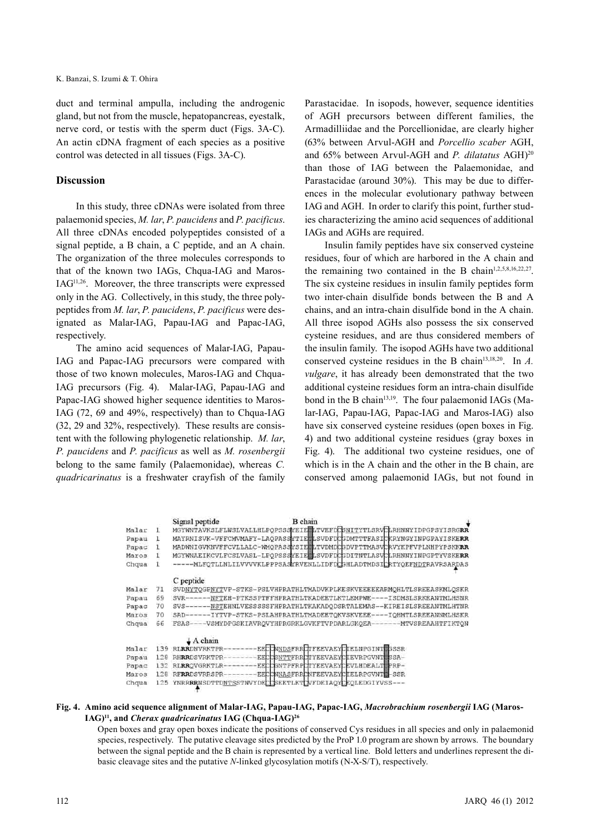duct and terminal ampulla, including the androgenic gland, but not from the muscle, hepatopancreas, eyestalk, nerve cord, or testis with the sperm duct (Figs. 3A-C). An actin cDNA fragment of each species as a positive control was detected in all tissues (Figs. 3A-C).

### **Discussion**

In this study, three cDNAs were isolated from three palaemonid species, *M. lar*, *P. paucidens* and *P. pacificus*. All three cDNAs encoded polypeptides consisted of a signal peptide, a B chain, a C peptide, and an A chain. The organization of the three molecules corresponds to that of the known two IAGs, Chqua-IAG and Maros-IAG11,26. Moreover, the three transcripts were expressed only in the AG. Collectively, in this study, the three polypeptides from *M. lar*, *P. paucidens*, *P. pacificus* were designated as Malar-IAG, Papau-IAG and Papac-IAG, respectively.

The amino acid sequences of Malar-IAG, Papau-IAG and Papac-IAG precursors were compared with those of two known molecules, Maros-IAG and Chqua-IAG precursors (Fig. 4). Malar-IAG, Papau-IAG and Papac-IAG showed higher sequence identities to Maros-IAG (72, 69 and 49%, respectively) than to Chqua-IAG (32, 29 and 32%, respectively). These results are consistent with the following phylogenetic relationship. *M. lar*, *P. paucidens* and *P. pacificus* as well as *M. rosenbergii*  belong to the same family (Palaemonidae), whereas *C. quadricarinatus* is a freshwater crayfish of the family Parastacidae. In isopods, however, sequence identities of AGH precursors between different families, the Armadilliidae and the Porcellionidae, are clearly higher (63% between Arvul-AGH and *Porcellio scaber* AGH, and 65% between Arvul-AGH and *P. dilatatus* AGH)<sup>20</sup> than those of IAG between the Palaemonidae, and Parastacidae (around 30%). This may be due to differences in the molecular evolutionary pathway between IAG and AGH. In order to clarify this point, further studies characterizing the amino acid sequences of additional IAGs and AGHs are required.

Insulin family peptides have six conserved cysteine residues, four of which are harbored in the A chain and the remaining two contained in the B chain<sup>1,2,5,8,16,22,27</sup>. The six cysteine residues in insulin family peptides form two inter-chain disulfide bonds between the B and A chains, and an intra-chain disulfide bond in the A chain. All three isopod AGHs also possess the six conserved cysteine residues, and are thus considered members of the insulin family. The isopod AGHs have two additional conserved cysteine residues in the B chain<sup>13,18,20</sup>. In *A*. *vulgare*, it has already been demonstrated that the two additional cysteine residues form an intra-chain disulfide bond in the B chain<sup>13,19</sup>. The four palaemonid IAGs (Malar-IAG, Papau-IAG, Papac-IAG and Maros-IAG) also have six conserved cysteine residues (open boxes in Fig. 4) and two additional cysteine residues (gray boxes in Fig. 4). The additional two cysteine residues, one of which is in the A chain and the other in the B chain, are conserved among palaemonid IAGs, but not found in

|       |     | <b>B</b> chain<br>Signal peptide                                               |
|-------|-----|--------------------------------------------------------------------------------|
| Malar |     | MGYWNTAVKSLFLWSLVALLHLPOPSSSYEIE LTVEFDCSNITYTLSRVCLRHNNYIDPGPSYISRGRR         |
| Papau |     | MAYRNISVK-VFFCMVMAFY-LAOPASSYTIELLSVDFDCGDMTTTFASICKRYNGYINPGPAYISKE <b>RR</b> |
| Papac |     | MADWNIGVKNVFFCVLLALC-WMQPASSYSIE_LTVDMDCGDVPTTMASVCRVYKPFVPLNHPYPSKKRR         |
| Maros |     | MGYWNAEIKCVLFCSLVASL-LPQPSSSYEIE LSVDFDCSDITNTLASVCLRHNNYINPGPTYVSKERR         |
| Chqua |     | ------MLFOTLLNLILVVVVKLPPPSASYRVENLLIDFDCSHLADTMDSICRTYOEFNDTRAVRSARDAS        |
|       |     | C peptide                                                                      |
| Malar | 71  | SVDNYTOGPNYTVP-STKS-PSLVHPRATHLTMADVKPLKESKVEEEEEARMOHLTLSREEASKMLOSKR         |
| Papau | 69  | SVR------NFTEH-PTKSSPTFFHPRATHLTKADEETLKTLEMPWE----ISDMSLSRKEANTMLHSNR         |
| Papac | 70  | SVS------NSTEHNLVESSSSSFHPRATHLTKAKADQDSRTALEMAS--KIREISLSREEANTMLHTNR         |
| Maros | 70  | SAD------TYTVP-STKS-PSLAHPRATHLTMADEETOKVSKVEEE----IQHMTLSREEANNMLHSKR         |
| Chqua | 66  | FSAS----VSMYDPGSKIAVRQVYHPRGRKLGVKFTVPDARLGKQEA--------MTVSREAAHTFIKTQN        |
|       |     | A chain                                                                        |
| Malar | 139 | EECONNDSFRROTFEEVAEYCLELNPGINTESSR<br><b>RLRRDNVRKTPR</b>                      |
| Papau | 128 | RHRRDSVRKTPR-<br>-EECCSNTTFRRCTYEEVAEYCIEVRPGVNT SSA-                          |
| Papac | 132 | -------EECOSNTPFRPCTYEEVAEYCEVLHDEALT PRP-<br>RLRRQVGRKTLR                     |
| Maros | 128 | EECCNNASFRRCNFEEVAEYCIELRPGVNTD-SSR<br>RERRDSVRRSPR-                           |
| Chqua |     | YNRRRRNSDTTDNTSSTNVYDECCSEKTLKTCVFDEIAOYCEOLEDGIYVSS---                        |

#### **Fig. 4. Amino acid sequence alignment of Malar-IAG, Papau-IAG, Papac-IAG,** *Macrobrachium rosenbergii* **IAG (Maros-IAG)11, and** *Cherax quadricarinatus* **IAG (Chqua-IAG)26**

Open boxes and gray open boxes indicate the positions of conserved Cys residues in all species and only in palaemonid species, respectively. The putative cleavage sites predicted by the ProP 1.0 program are shown by arrows. The boundary between the signal peptide and the B chain is represented by a vertical line. Bold letters and underlines represent the dibasic cleavage sites and the putative *N*-linked glycosylation motifs (N-X-S/T), respectively.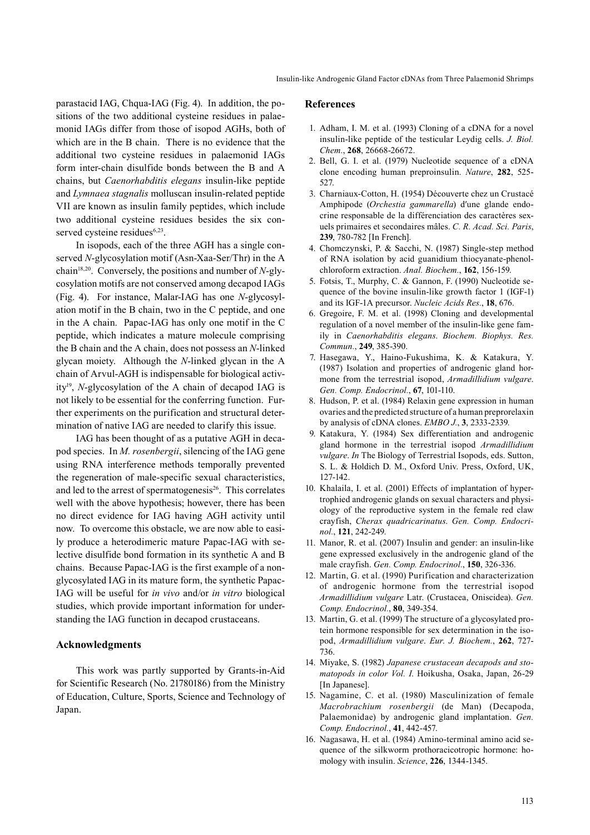parastacid IAG, Chqua-IAG (Fig. 4). In addition, the positions of the two additional cysteine residues in palaemonid IAGs differ from those of isopod AGHs, both of which are in the B chain. There is no evidence that the additional two cysteine residues in palaemonid IAGs form inter-chain disulfide bonds between the B and A chains, but *Caenorhabditis elegans* insulin-like peptide and *Lymnaea stagnalis* molluscan insulin-related peptide VII are known as insulin family peptides, which include two additional cysteine residues besides the six conserved cysteine residues<sup>6,23</sup>.

In isopods, each of the three AGH has a single conserved *N*-glycosylation motif (Asn-Xaa-Ser/Thr) in the A chain<sup>18,20</sup>. Conversely, the positions and number of *N*-glycosylation motifs are not conserved among decapod IAGs (Fig. 4). For instance, Malar-IAG has one *N*-glycosylation motif in the B chain, two in the C peptide, and one in the A chain. Papac-IAG has only one motif in the C peptide, which indicates a mature molecule comprising the B chain and the A chain, does not possess an *N*-linked glycan moiety. Although the *N*-linked glycan in the A chain of Arvul-AGH is indispensable for biological activity19, *N*-glycosylation of the A chain of decapod IAG is not likely to be essential for the conferring function. Further experiments on the purification and structural determination of native IAG are needed to clarify this issue.

IAG has been thought of as a putative AGH in decapod species. In *M. rosenbergii*, silencing of the IAG gene using RNA interference methods temporally prevented the regeneration of male-specific sexual characteristics, and led to the arrest of spermatogenesis<sup>26</sup>. This correlates well with the above hypothesis; however, there has been no direct evidence for IAG having AGH activity until now. To overcome this obstacle, we are now able to easily produce a heterodimeric mature Papac-IAG with selective disulfide bond formation in its synthetic A and B chains. Because Papac-IAG is the first example of a nonglycosylated IAG in its mature form, the synthetic Papac-IAG will be useful for *in vivo* and/or *in vitro* biological studies, which provide important information for understanding the IAG function in decapod crustaceans.

### **Acknowledgments**

This work was partly supported by Grants-in-Aid for Scientific Research (No. 21780186) from the Ministry of Education, Culture, Sports, Science and Technology of Japan.

#### **References**

- 1. Adham, I. M. et al. (1993) Cloning of a cDNA for a novel insulin-like peptide of the testicular Leydig cells. *J. Biol. Chem.*, **268**, 26668-26672.
- 2. Bell, G. I. et al. (1979) Nucleotide sequence of a cDNA clone encoding human preproinsulin. *Nature*, **282**, 525- 527.
- 3. Charniaux-Cotton, H. (1954) Découverte chez un Crustacé Amphipode (*Orchestia gammarella*) d′une glande endocrine responsable de la différenciation des caractères sexuels primaires et secondaires mâles. *C. R. Acad. Sci. Paris*, **239**, 780-782 [In French].
- 4. Chomczynski, P. & Sacchi, N. (1987) Single-step method of RNA isolation by acid guanidium thiocyanate-phenolchloroform extraction. *Anal. Biochem.*, **162**, 156-159.
- 5. Fotsis, T., Murphy, C. & Gannon, F. (1990) Nucleotide sequence of the bovine insulin-like growth factor 1 (IGF-1) and its IGF-1A precursor. *Nucleic Acids Res.*, **18**, 676.
- 6. Gregoire, F. M. et al. (1998) Cloning and developmental regulation of a novel member of the insulin-like gene family in *Caenorhabditis elegans*. *Biochem. Biophys. Res. Commun.*, **249**, 385-390.
- 7. Hasegawa, Y., Haino-Fukushima, K. & Katakura, Y. (1987) Isolation and properties of androgenic gland hormone from the terrestrial isopod, *Armadillidium vulgare*. *Gen. Comp. Endocrinol.*, **67**, 101-110.
- 8. Hudson, P. et al. (1984) Relaxin gene expression in human ovaries and the predicted structure of a human preprorelaxin by analysis of cDNA clones. *EMBO J.*, **3**, 2333-2339.
- 9. Katakura, Y. (1984) Sex differentiation and androgenic gland hormone in the terrestrial isopod *Armadillidium vulgare*. *In* The Biology of Terrestrial Isopods, eds. Sutton, S. L. & Holdich D. M., Oxford Univ. Press, Oxford, UK, 127-142.
- 10. Khalaila, I. et al. (2001) Effects of implantation of hypertrophied androgenic glands on sexual characters and physiology of the reproductive system in the female red claw crayfish, *Cherax quadricarinatus*. *Gen. Comp. Endocrinol.*, **121**, 242-249.
- 11. Manor, R. et al. (2007) Insulin and gender: an insulin-like gene expressed exclusively in the androgenic gland of the male crayfish. *Gen. Comp. Endocrinol.*, **150**, 326-336.
- 12. Martin, G. et al. (1990) Purification and characterization of androgenic hormone from the terrestrial isopod *Armadillidium vulgare* Latr. (Crustacea, Oniscidea). *Gen. Comp. Endocrinol.*, **80**, 349-354.
- 13. Martin, G. et al. (1999) The structure of a glycosylated protein hormone responsible for sex determination in the isopod, *Armadillidium vulgare*. *Eur. J. Biochem.*, **262**, 727- 736.
- 14. Miyake, S. (1982) *Japanese crustacean decapods and stomatopods in color Vol. I*. Hoikusha, Osaka, Japan, 26-29 [In Japanese].
- 15. Nagamine, C. et al. (1980) Masculinization of female *Macrobrachium rosenbergii* (de Man) (Decapoda, Palaemonidae) by androgenic gland implantation. *Gen. Comp. Endocrinol.*, **41**, 442-457.
- 16. Nagasawa, H. et al. (1984) Amino-terminal amino acid sequence of the silkworm prothoracicotropic hormone: homology with insulin. *Science*, **226**, 1344-1345.